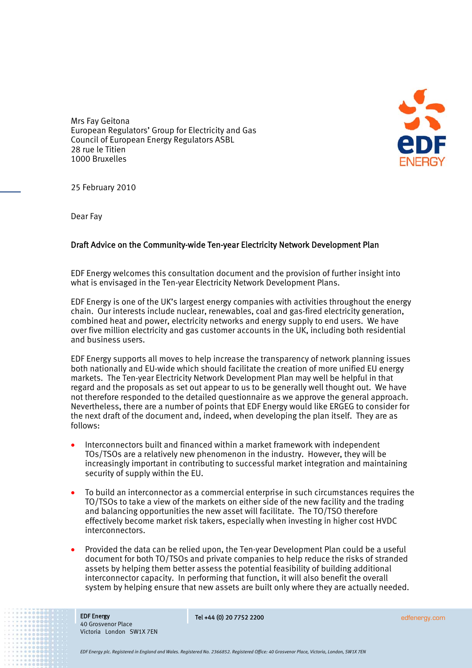

Mrs Fay Geitona European Regulators' Group for Electricity and Gas Council of European Energy Regulators ASBL 28 rue le Titien 1000 Bruxelles

25 February 2010

Dear Fay

## Draft Advice on the Community-wide Ten-year Electricity Network Development Plan

EDF Energy welcomes this consultation document and the provision of further insight into what is envisaged in the Ten-year Electricity Network Development Plans.

EDF Energy is one of the UK's largest energy companies with activities throughout the energy chain. Our interests include nuclear, renewables, coal and gas-fired electricity generation, combined heat and power, electricity networks and energy supply to end users. We have over five million electricity and gas customer accounts in the UK, including both residential and business users.

EDF Energy supports all moves to help increase the transparency of network planning issues both nationally and EU-wide which should facilitate the creation of more unified EU energy markets. The Ten-year Electricity Network Development Plan may well be helpful in that regard and the proposals as set out appear to us to be generally well thought out. We have not therefore responded to the detailed questionnaire as we approve the general approach. Nevertheless, there are a number of points that EDF Energy would like ERGEG to consider for the next draft of the document and, indeed, when developing the plan itself. They are as follows:

- Interconnectors built and financed within a market framework with independent TOs/TSOs are a relatively new phenomenon in the industry. However, they will be increasingly important in contributing to successful market integration and maintaining security of supply within the EU.
- To build an interconnector as a commercial enterprise in such circumstances requires the TO/TSOs to take a view of the markets on either side of the new facility and the trading and balancing opportunities the new asset will facilitate. The TO/TSO therefore effectively become market risk takers, especially when investing in higher cost HVDC interconnectors.
- Provided the data can be relied upon, the Ten-year Development Plan could be a useful document for both TO/TSOs and private companies to help reduce the risks of stranded assets by helping them better assess the potential feasibility of building additional interconnector capacity. In performing that function, it will also benefit the overall system by helping ensure that new assets are built only where they are actually needed.

EDF Energy 40 Grosvenor Place Victoria London SW1X 7EN Tel +44 (0) 20 7752 2200 edfenergy.com

*EDF Energy plc. Registered in England and Wales. Registered No. 2366852. Registered Office: 40 Grosvenor Place, Victoria, London, SW1X 7EN*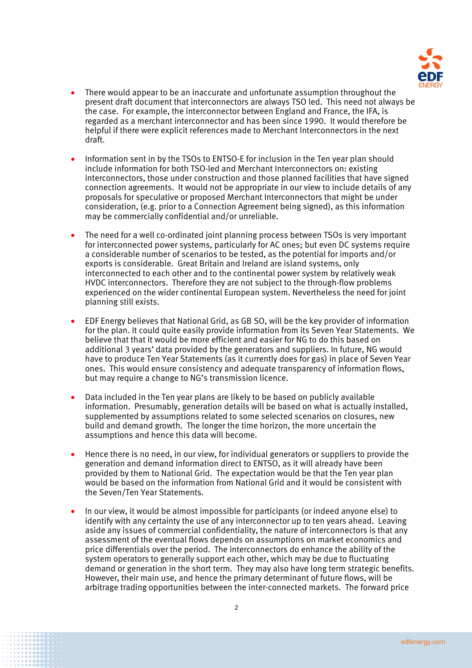

- There would appear to be an inaccurate and unfortunate assumption throughout the present draft document that interconnectors are always TSO led. This need not always be the case. For example, the interconnector between England and France, the IFA, is regarded as a merchant interconnector and has been since 1990. It would therefore be helpful if there were explicit references made to Merchant Interconnectors in the next draft.
- Information sent in by the TSOs to ENTSO-E for inclusion in the Ten year plan should include information for both TSO-led and Merchant Interconnectors on: existing interconnectors, those under construction and those planned facilities that have signed connection agreements. It would not be appropriate in our view to include details of any proposals for speculative or proposed Merchant Interconnectors that might be under consideration, (e.g. prior to a Connection Agreement being signed), as this information may be commercially confidential and/or unreliable.
- The need for a well co-ordinated joint planning process between TSOs is very important for interconnected power systems, particularly for AC ones; but even DC systems require a considerable number of scenarios to be tested, as the potential for imports and/or exports is considerable. Great Britain and Ireland are island systems, only interconnected to each other and to the continental power system by relatively weak HVDC interconnectors. Therefore they are not subject to the through-flow problems experienced on the wider continental European system. Nevertheless the need for joint planning still exists.
- EDF Energy believes that National Grid, as GB SO, will be the key provider of information for the plan. It could quite easily provide information from its Seven Year Statements. We believe that that it would be more efficient and easier for NG to do this based on additional 3 years' data provided by the generators and suppliers. In future, NG would have to produce Ten Year Statements (as it currently does for gas) in place of Seven Year ones. This would ensure consistency and adequate transparency of information flows, but may require a change to NG's transmission licence.
- Data included in the Ten year plans are likely to be based on publicly available information. Presumably, generation details will be based on what is actually installed, supplemented by assumptions related to some selected scenarios on closures, new build and demand growth. The longer the time horizon, the more uncertain the assumptions and hence this data will become.
- Hence there is no need, in our view, for individual generators or suppliers to provide the generation and demand information direct to ENTSO, as it will already have been provided by them to National Grid. The expectation would be that the Ten year plan would be based on the information from National Grid and it would be consistent with the Seven/Ten Year Statements.
- In our view, it would be almost impossible for participants (or indeed anyone else) to identify with any certainty the use of any interconnector up to ten years ahead. Leaving aside any issues of commercial confidentiality, the nature of interconnectors is that any assessment of the eventual flows depends on assumptions on market economics and price differentials over the period. The interconnectors do enhance the ability of the system operators to generally support each other, which may be due to fluctuating demand or generation in the short term. They may also have long term strategic benefits. However, their main use, and hence the primary determinant of future flows, will be arbitrage trading opportunities between the inter-connected markets. The forward price